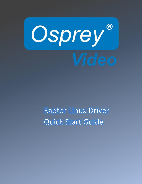

**Raptor Linux Driver** Quick Start Guide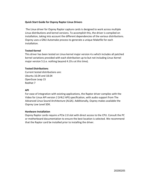## **Quick Start Guide for Osprey Raptor Linux Drivers**

The Linux driver for Osprey Raptor capture cards is designed to work across multiple Linux distributions and kernel versions. To accomplish this, the driver is compiled on installation, taking into account the different dependencies of the various distributions. Osprey uses a GNU Automake process to generate a unique Makefile for each installation.

## **Tested Kernel**

This driver has been tested on Linux kernel major version 4.x which includes all patched kernel variations provided with each distribution up to but not including Linux Kernel major version 5 (i.e. nothing beyond 4.19.x at this time).

## **Tested Distributions**

Current tested distributions are: Ubuntu 16.04 and 18.04 OpenSuse Leap 15 RedHat 7

## **API**

For ease of integration with existing applications, the Raptor driver complies with the Video for Linux API version 2 (V4L2 API) specification, with audio support from The Advanced Linux Sound Architecture (ALSA). Additionally, Osprey makes available the Osprey Low Level SDK.

## **Hardware Installation**

Osprey Raptor cards require a PCIe 2.0 slot with direct access to the CPU. Consult the PC or motherboard documentation to ensure the best location is selected. We recommend that the Raptor card be installed prior to installing the driver.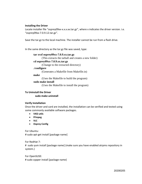## **Installing the Driver**

Locate installer file "osprey09xx-x.x.x.xx.tar.gz", where x indicates the driver version. i.e. "osprey09xx-7.0.9.12.tar.gz".

Save the tar.gz to the local machine. The installer cannot be run from a flash drive.

In the same directory as the tar.gz file was saved, type:

**tar xvzf osprey09xx-7.0.9.xx.tar.gz** (This extracts the tarball and creates a new folder) **cd osprey09xx-7.0.9.xx.tar.gz**  (Change to the extracted directory) **./configure**  (Generates a Makefile from Makefile.in) **make**  (Uses the Makefile to build the program) **sudo make install** (Uses the Makefile to install the program)

#### **To Uninstall the Driver**

 **sudo make uninstall**

## **Verify Installation**

Once the driver and card are installed, the installation can be verified and tested using some commonly available software packages.

- **V4l2-utils**
- **FFmpeg**
- **VLC**
- **Osprey Config**

For Ubuntu: # sudo apt-get install [package name]

For RedHat 7:

# sudo yum install [package name] (make sure you have enabled atrpms repository in system.)

For OpenSUSE: # sudo zypper install [package name}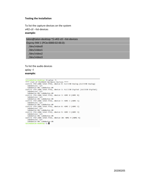#### **Testing the Installation**

To list the capture devices on the system v4l2-ctl --list-devices **example:**

talon@talon-desktop:~\$ v4l2-ctl --list-devices Osprey-944 1 (PCIe:0000:02:00.0): /dev/video0 /dev/video1 /dev/video2 /dev/video3

To list the audio devices aplay –l **example:**

```
talon@talon-desktop:~$ aplay -l<br>**** List of PLAYBACK Hardware Devices ****
card 0: PCH [HDA Intel PCH], device 0: ALC1150 Analog [ALC1150 Analog]
  Subdevices: 1/1
  Subdevice #0: subdevice #0
card 0: PCH [HDA Intel PCH], device 1: ALC1150 Digital [ALC1150 Digital]
  Subdevices: 1/1
  Subdevice #0: subdevice #0
card 0: PCH [HDA Intel PCH], device 3: HDMI 0 [HDMI 0]
  Subdevices: 1/1
  Subdevice #0: subdevice #0
card 0: PCH [HDA Intel PCH], device 7: HDMI 1 [HDMI 1]
 Subdevices: 1/1
  Subdevice #0: subdevice #0
card 0: PCH [HDA Intel PCH], device 8: HDMI 2 [HDMI 2]
  Subdevices: 1/1
  Subdevice #0: subdevice #0
card 0: PCH [HDA Intel PCH], device 9: HDMI 3 [HDMI 3]
  Subdevices: 1/1
  Subdevice #0: subdevice #0
card 0: PCH [HDA Intel PCH], device 10: HDMI 4 [HDMI 4]
 Subdevices: 1/1
  Subdevice #0: subdevice #0
talon@talon-desktop:~$
```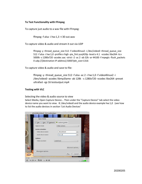### **To Test Functionality with FFmpeg**

To capture just audio to a wav file with FFmpeg:

ffmpeg -f alsa -i hw:1,3 -t 30 out.wav

To capture video & audio and stream it out via UDP

ffmpeg -y -thread\_queue\_size 512 -f video4linux2 -i /dev/video0 -thread\_queue\_size 512 -f alsa -i hw:1,0 -profile:v high -pix\_fmt yuvj420p -level:v 4.1 -vcodec libx264 -b:v 5000k -s 1280x720 -acodec aac -strict -2 -ac 2 -ab 32k -ar 44100 -f mpegts -flush\_packets 0 udp://[destination IP address]:5000?pkt\_size=1316

To capture video & audio and save to file:

ffmpeg -y -thread\_queue\_size 512 -f alsa -ac 2 -i hw:1,0 -f video4linux2 -i /dev/video0 -acodec libmp3lame -ab 128k -s 1280x720 -vcodec libx264 -preset ultrafast -qp 16 testoutput.mp4

#### **Testing with VLC**

Selecting the video & audio source to view

Select Media, Open Capture Device... Then under the "Capture Device" tab select the video device name you want to view. IE /dev/video0 and the audio device example hw:1,0 (see how to list the audio devices in section 'List Audio Devices'

| v4l2:///dev/video0 - VLC media player |                |                         |
|---------------------------------------|----------------|-------------------------|
|                                       |                |                         |
| $x +$ Open Media                      |                |                         |
| File Disc <sup>#</sup> Network        | Capture Device |                         |
| Capture mode                          | Video camera   | $\hat{\mathbf{A}}$<br>٠ |
| <b>Device Selection</b>               |                |                         |
| Video device name                     | /dev/video0    | $\boldsymbol{\nabla}$   |
| Audio device name                     | hw:1,0         | $\overline{\mathbf{v}}$ |
| <b>Options</b>                        |                |                         |
| Video standard                        | Undefined      | $\ddot{\phantom{1}}$    |
|                                       |                |                         |
|                                       |                | Advanced options        |
| Show more options                     |                |                         |
|                                       |                | Cancel<br>Play          |
|                                       |                |                         |
| 01:29                                 |                | 00:00                   |
| II<br>5<br><b>fill</b><br>揾<br>G      | œ              | 1009<br>(1) =           |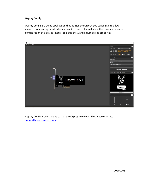# **Osprey Config**

Osprey Config is a demo application that utilizes the Osprey 900 series SDK to allow users to preview captured video and audio of each channel, view the current connector configuration of a device (input, loop-out, etc.), and adjust device properties.



Osprey Config is available as part of the Osprey Low Level SDK. Please contact [support@ospreyvideo.com.](mailto:support@ospreyvideo.com)